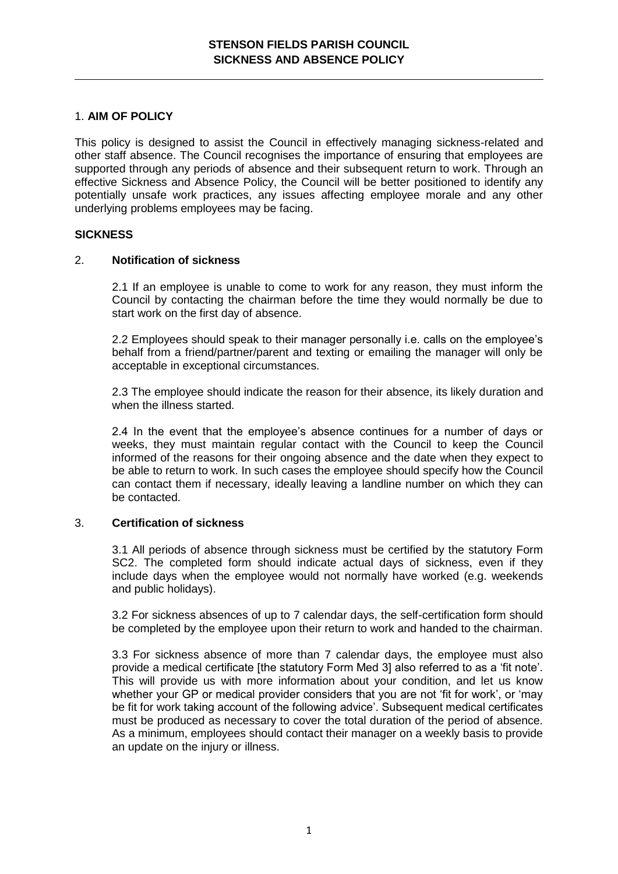# 1. **AIM OF POLICY**

This policy is designed to assist the Council in effectively managing sickness-related and other staff absence. The Council recognises the importance of ensuring that employees are supported through any periods of absence and their subsequent return to work. Through an effective Sickness and Absence Policy, the Council will be better positioned to identify any potentially unsafe work practices, any issues affecting employee morale and any other underlying problems employees may be facing.

# **SICKNESS**

# 2. **Notification of sickness**

2.1 If an employee is unable to come to work for any reason, they must inform the Council by contacting the chairman before the time they would normally be due to start work on the first day of absence.

2.2 Employees should speak to their manager personally i.e. calls on the employee's behalf from a friend/partner/parent and texting or emailing the manager will only be acceptable in exceptional circumstances.

2.3 The employee should indicate the reason for their absence, its likely duration and when the illness started.

2.4 In the event that the employee's absence continues for a number of days or weeks, they must maintain regular contact with the Council to keep the Council informed of the reasons for their ongoing absence and the date when they expect to be able to return to work. In such cases the employee should specify how the Council can contact them if necessary, ideally leaving a landline number on which they can be contacted.

# 3. **Certification of sickness**

3.1 All periods of absence through sickness must be certified by the statutory Form SC2. The completed form should indicate actual days of sickness, even if they include days when the employee would not normally have worked (e.g. weekends and public holidays).

3.2 For sickness absences of up to 7 calendar days, the self-certification form should be completed by the employee upon their return to work and handed to the chairman.

3.3 For sickness absence of more than 7 calendar days, the employee must also provide a medical certificate [the statutory Form Med 3] also referred to as a 'fit note'. This will provide us with more information about your condition, and let us know whether your GP or medical provider considers that you are not 'fit for work', or 'may be fit for work taking account of the following advice'. Subsequent medical certificates must be produced as necessary to cover the total duration of the period of absence. As a minimum, employees should contact their manager on a weekly basis to provide an update on the injury or illness.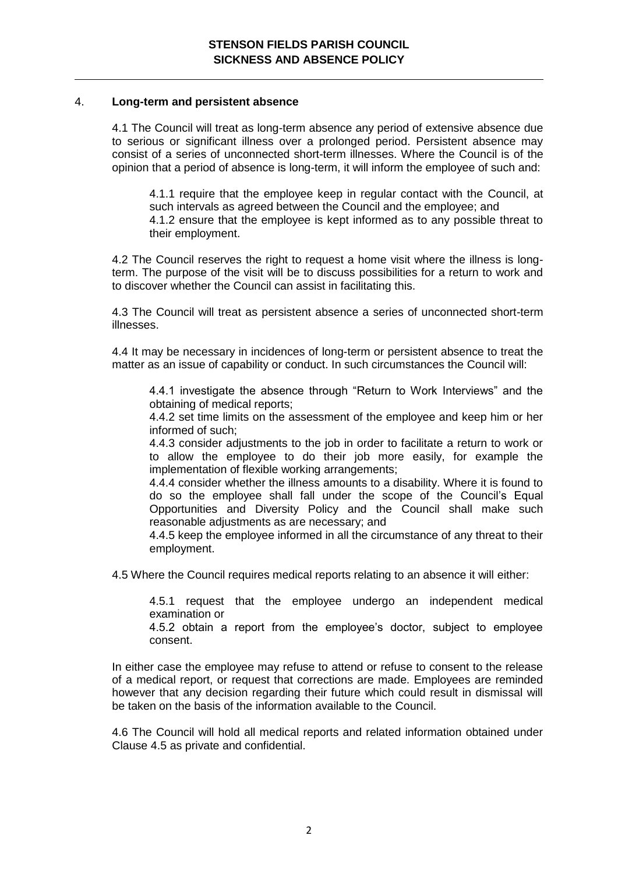### 4. **Long-term and persistent absence**

4.1 The Council will treat as long-term absence any period of extensive absence due to serious or significant illness over a prolonged period. Persistent absence may consist of a series of unconnected short-term illnesses. Where the Council is of the opinion that a period of absence is long-term, it will inform the employee of such and:

4.1.1 require that the employee keep in regular contact with the Council, at such intervals as agreed between the Council and the employee; and 4.1.2 ensure that the employee is kept informed as to any possible threat to their employment.

4.2 The Council reserves the right to request a home visit where the illness is longterm. The purpose of the visit will be to discuss possibilities for a return to work and to discover whether the Council can assist in facilitating this.

4.3 The Council will treat as persistent absence a series of unconnected short-term illnesses.

4.4 It may be necessary in incidences of long-term or persistent absence to treat the matter as an issue of capability or conduct. In such circumstances the Council will:

4.4.1 investigate the absence through "Return to Work Interviews" and the obtaining of medical reports;

4.4.2 set time limits on the assessment of the employee and keep him or her informed of such;

4.4.3 consider adjustments to the job in order to facilitate a return to work or to allow the employee to do their job more easily, for example the implementation of flexible working arrangements;

4.4.4 consider whether the illness amounts to a disability. Where it is found to do so the employee shall fall under the scope of the Council's Equal Opportunities and Diversity Policy and the Council shall make such reasonable adjustments as are necessary; and

4.4.5 keep the employee informed in all the circumstance of any threat to their employment.

4.5 Where the Council requires medical reports relating to an absence it will either:

4.5.1 request that the employee undergo an independent medical examination or

4.5.2 obtain a report from the employee's doctor, subject to employee consent.

In either case the employee may refuse to attend or refuse to consent to the release of a medical report, or request that corrections are made. Employees are reminded however that any decision regarding their future which could result in dismissal will be taken on the basis of the information available to the Council.

4.6 The Council will hold all medical reports and related information obtained under Clause 4.5 as private and confidential.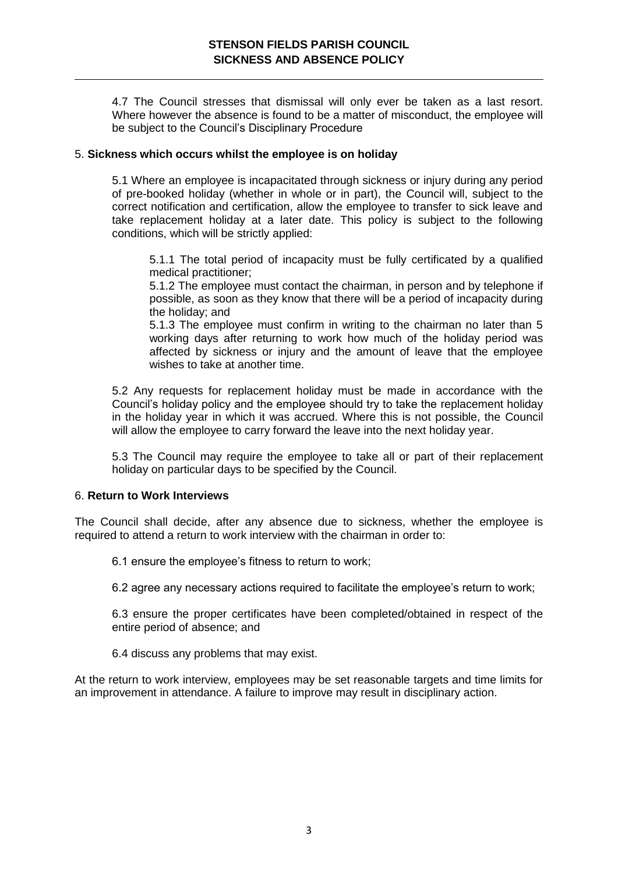4.7 The Council stresses that dismissal will only ever be taken as a last resort. Where however the absence is found to be a matter of misconduct, the employee will be subject to the Council's Disciplinary Procedure

# 5. **Sickness which occurs whilst the employee is on holiday**

5.1 Where an employee is incapacitated through sickness or injury during any period of pre-booked holiday (whether in whole or in part), the Council will, subject to the correct notification and certification, allow the employee to transfer to sick leave and take replacement holiday at a later date. This policy is subject to the following conditions, which will be strictly applied:

5.1.1 The total period of incapacity must be fully certificated by a qualified medical practitioner;

5.1.2 The employee must contact the chairman, in person and by telephone if possible, as soon as they know that there will be a period of incapacity during the holiday; and

5.1.3 The employee must confirm in writing to the chairman no later than 5 working days after returning to work how much of the holiday period was affected by sickness or injury and the amount of leave that the employee wishes to take at another time.

5.2 Any requests for replacement holiday must be made in accordance with the Council's holiday policy and the employee should try to take the replacement holiday in the holiday year in which it was accrued. Where this is not possible, the Council will allow the employee to carry forward the leave into the next holiday year.

5.3 The Council may require the employee to take all or part of their replacement holiday on particular days to be specified by the Council.

# 6. **Return to Work Interviews**

The Council shall decide, after any absence due to sickness, whether the employee is required to attend a return to work interview with the chairman in order to:

6.1 ensure the employee's fitness to return to work;

6.2 agree any necessary actions required to facilitate the employee's return to work;

6.3 ensure the proper certificates have been completed/obtained in respect of the entire period of absence; and

6.4 discuss any problems that may exist.

At the return to work interview, employees may be set reasonable targets and time limits for an improvement in attendance. A failure to improve may result in disciplinary action.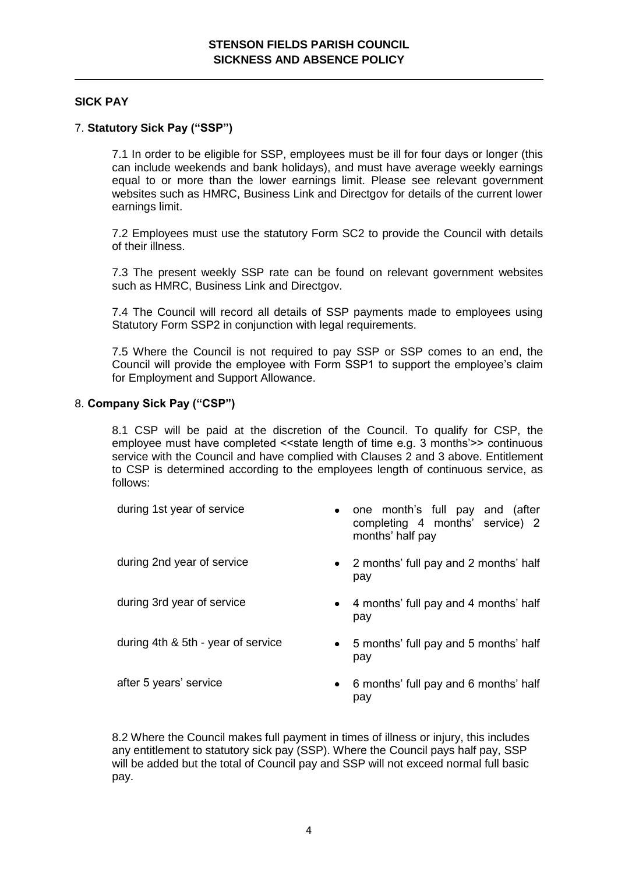# **SICK PAY**

# 7. **Statutory Sick Pay ("SSP")**

7.1 In order to be eligible for SSP, employees must be ill for four days or longer (this can include weekends and bank holidays), and must have average weekly earnings equal to or more than the lower earnings limit. Please see relevant government websites such as HMRC, Business Link and Directgov for details of the current lower earnings limit.

7.2 Employees must use the statutory Form SC2 to provide the Council with details of their illness.

7.3 The present weekly SSP rate can be found on relevant government websites such as HMRC. Business Link and Directgov.

7.4 The Council will record all details of SSP payments made to employees using Statutory Form SSP2 in conjunction with legal requirements.

7.5 Where the Council is not required to pay SSP or SSP comes to an end, the Council will provide the employee with Form SSP1 to support the employee's claim for Employment and Support Allowance.

### 8. **Company Sick Pay ("CSP")**

8.1 CSP will be paid at the discretion of the Council. To qualify for CSP, the employee must have completed << state length of time e.g. 3 months'>> continuous service with the Council and have complied with Clauses 2 and 3 above. Entitlement to CSP is determined according to the employees length of continuous service, as follows:

| during 1st year of service         | one month's full pay and (after<br>$\bullet$<br>completing 4 months' service) 2<br>months' half pay |
|------------------------------------|-----------------------------------------------------------------------------------------------------|
| during 2nd year of service         | • 2 months' full pay and 2 months' half<br>pay                                                      |
| during 3rd year of service         | • 4 months' full pay and 4 months' half<br>pay                                                      |
| during 4th & 5th - year of service | • 5 months' full pay and 5 months' half<br>pay                                                      |
| after 5 years' service             | • 6 months' full pay and 6 months' half<br>pay                                                      |

8.2 Where the Council makes full payment in times of illness or injury, this includes any entitlement to statutory sick pay (SSP). Where the Council pays half pay, SSP will be added but the total of Council pay and SSP will not exceed normal full basic pay.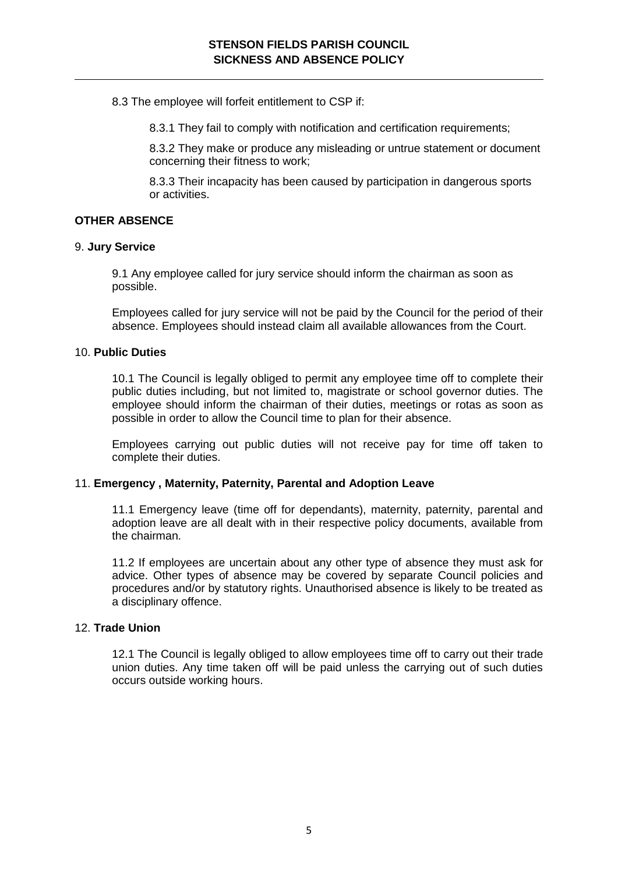8.3 The employee will forfeit entitlement to CSP if:

8.3.1 They fail to comply with notification and certification requirements;

8.3.2 They make or produce any misleading or untrue statement or document concerning their fitness to work;

8.3.3 Their incapacity has been caused by participation in dangerous sports or activities.

# **OTHER ABSENCE**

#### 9. **Jury Service**

9.1 Any employee called for jury service should inform the chairman as soon as possible.

Employees called for jury service will not be paid by the Council for the period of their absence. Employees should instead claim all available allowances from the Court.

#### 10. **Public Duties**

10.1 The Council is legally obliged to permit any employee time off to complete their public duties including, but not limited to, magistrate or school governor duties. The employee should inform the chairman of their duties, meetings or rotas as soon as possible in order to allow the Council time to plan for their absence.

Employees carrying out public duties will not receive pay for time off taken to complete their duties.

#### 11. **Emergency , Maternity, Paternity, Parental and Adoption Leave**

11.1 Emergency leave (time off for dependants), maternity, paternity, parental and adoption leave are all dealt with in their respective policy documents, available from the chairman.

11.2 If employees are uncertain about any other type of absence they must ask for advice. Other types of absence may be covered by separate Council policies and procedures and/or by statutory rights. Unauthorised absence is likely to be treated as a disciplinary offence.

#### 12. **Trade Union**

12.1 The Council is legally obliged to allow employees time off to carry out their trade union duties. Any time taken off will be paid unless the carrying out of such duties occurs outside working hours.